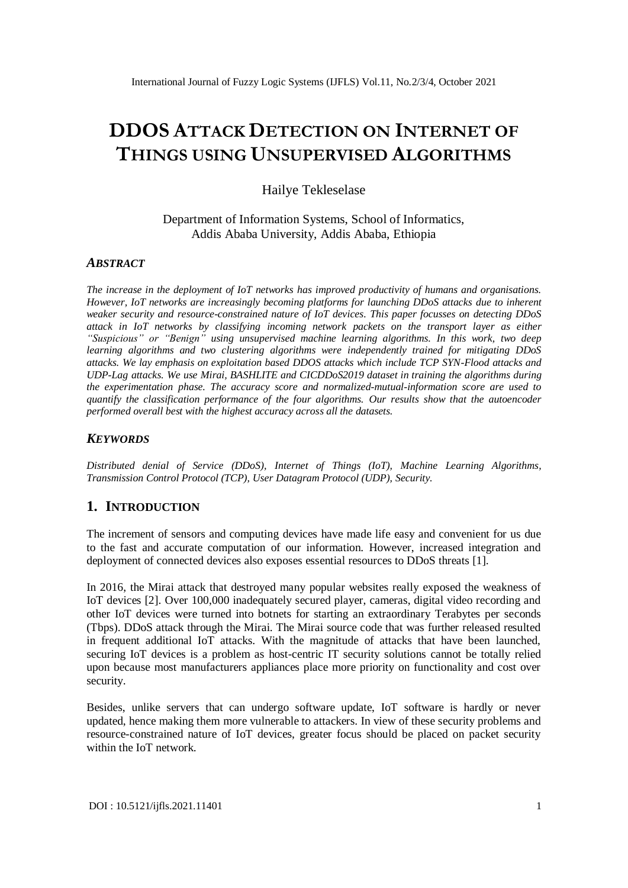# **DDOS ATTACK DETECTION ON INTERNET OF THINGS USING UNSUPERVISED ALGORITHMS**

Hailye Tekleselase

Department of Information Systems, School of Informatics, Addis Ababa University, Addis Ababa, Ethiopia

## *ABSTRACT*

*The increase in the deployment of IoT networks has improved productivity of humans and organisations. However, IoT networks are increasingly becoming platforms for launching DDoS attacks due to inherent weaker security and resource-constrained nature of IoT devices. This paper focusses on detecting DDoS attack in IoT networks by classifying incoming network packets on the transport layer as either "Suspicious" or "Benign" using unsupervised machine learning algorithms. In this work, two deep learning algorithms and two clustering algorithms were independently trained for mitigating DDoS attacks. We lay emphasis on exploitation based DDOS attacks which include TCP SYN-Flood attacks and UDP-Lag attacks. We use Mirai, BASHLITE and CICDDoS2019 dataset in training the algorithms during the experimentation phase. The accuracy score and normalized-mutual-information score are used to quantify the classification performance of the four algorithms. Our results show that the autoencoder performed overall best with the highest accuracy across all the datasets.* 

## *KEYWORDS*

*Distributed denial of Service (DDoS), Internet of Things (IoT), Machine Learning Algorithms, Transmission Control Protocol (TCP), User Datagram Protocol (UDP), Security.*

# **1. INTRODUCTION**

The increment of sensors and computing devices have made life easy and convenient for us due to the fast and accurate computation of our information. However, increased integration and deployment of connected devices also exposes essential resources to DDoS threats [1].

In 2016, the Mirai attack that destroyed many popular websites really exposed the weakness of IoT devices [2]. Over 100,000 inadequately secured player, cameras, digital video recording and other IoT devices were turned into botnets for starting an extraordinary Terabytes per seconds (Tbps). DDoS attack through the Mirai. The Mirai source code that was further released resulted in frequent additional IoT attacks. With the magnitude of attacks that have been launched, securing IoT devices is a problem as host-centric IT security solutions cannot be totally relied upon because most manufacturers appliances place more priority on functionality and cost over security.

Besides, unlike servers that can undergo software update, IoT software is hardly or never updated, hence making them more vulnerable to attackers. In view of these security problems and resource-constrained nature of IoT devices, greater focus should be placed on packet security within the IoT network.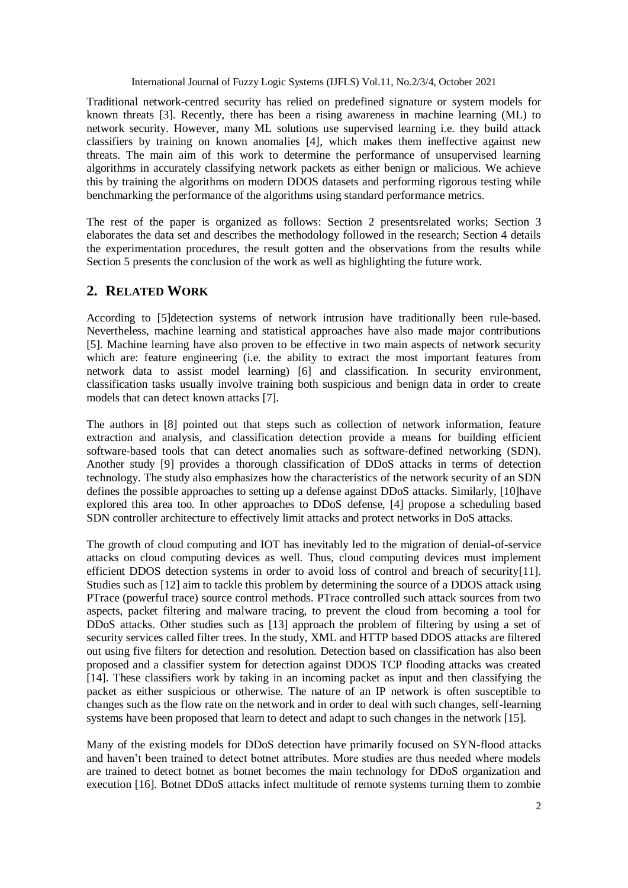Traditional network-centred security has relied on predefined signature or system models for known threats [3]. Recently, there has been a rising awareness in machine learning (ML) to network security. However, many ML solutions use supervised learning i.e. they build attack classifiers by training on known anomalies [4], which makes them ineffective against new threats. The main aim of this work to determine the performance of unsupervised learning algorithms in accurately classifying network packets as either benign or malicious. We achieve this by training the algorithms on modern DDOS datasets and performing rigorous testing while benchmarking the performance of the algorithms using standard performance metrics.

The rest of the paper is organized as follows: Section 2 presentsrelated works; Section 3 elaborates the data set and describes the methodology followed in the research; Section 4 details the experimentation procedures, the result gotten and the observations from the results while Section 5 presents the conclusion of the work as well as highlighting the future work.

# **2. RELATED WORK**

According to [5]detection systems of network intrusion have traditionally been rule-based. Nevertheless, machine learning and statistical approaches have also made major contributions [5]. Machine learning have also proven to be effective in two main aspects of network security which are: feature engineering (i.e. the ability to extract the most important features from network data to assist model learning) [6] and classification. In security environment, classification tasks usually involve training both suspicious and benign data in order to create models that can detect known attacks [7].

The authors in [8] pointed out that steps such as collection of network information, feature extraction and analysis, and classification detection provide a means for building efficient software-based tools that can detect anomalies such as software-defined networking (SDN). Another study [9] provides a thorough classification of DDoS attacks in terms of detection technology. The study also emphasizes how the characteristics of the network security of an SDN defines the possible approaches to setting up a defense against DDoS attacks. Similarly, [10]have explored this area too. In other approaches to DDoS defense, [4] propose a scheduling based SDN controller architecture to effectively limit attacks and protect networks in DoS attacks.

The growth of cloud computing and IOT has inevitably led to the migration of denial-of-service attacks on cloud computing devices as well. Thus, cloud computing devices must implement efficient DDOS detection systems in order to avoid loss of control and breach of security[11]. Studies such as [12] aim to tackle this problem by determining the source of a DDOS attack using PTrace (powerful trace) source control methods. PTrace controlled such attack sources from two aspects, packet filtering and malware tracing, to prevent the cloud from becoming a tool for DDoS attacks. Other studies such as [13] approach the problem of filtering by using a set of security services called filter trees. In the study, XML and HTTP based DDOS attacks are filtered out using five filters for detection and resolution. Detection based on classification has also been proposed and a classifier system for detection against DDOS TCP flooding attacks was created [14]. These classifiers work by taking in an incoming packet as input and then classifying the packet as either suspicious or otherwise. The nature of an IP network is often susceptible to changes such as the flow rate on the network and in order to deal with such changes, self-learning systems have been proposed that learn to detect and adapt to such changes in the network [15].

Many of the existing models for DDoS detection have primarily focused on SYN-flood attacks and haven't been trained to detect botnet attributes. More studies are thus needed where models are trained to detect botnet as botnet becomes the main technology for DDoS organization and execution [16]. Botnet DDoS attacks infect multitude of remote systems turning them to zombie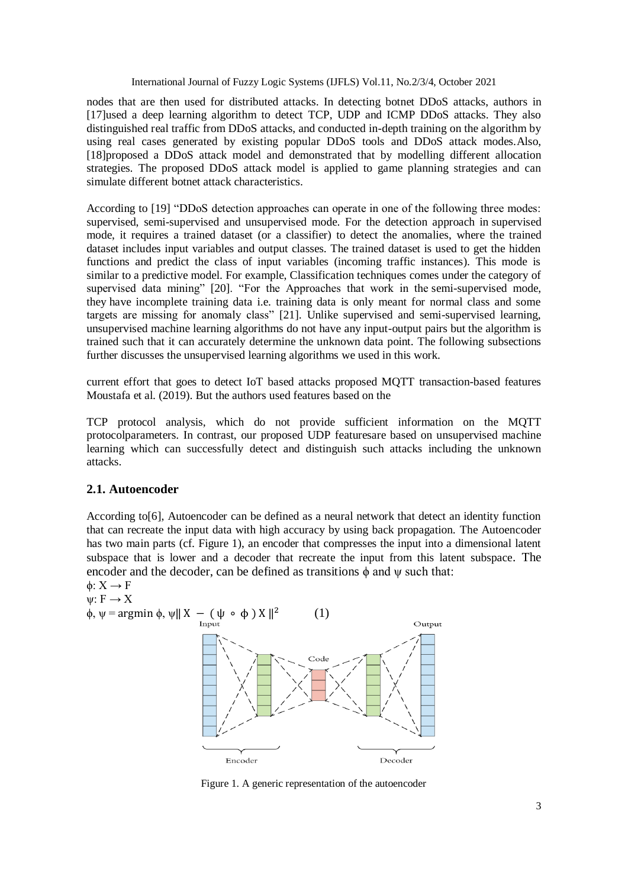nodes that are then used for distributed attacks. In detecting botnet DDoS attacks, authors in [17]used a deep learning algorithm to detect TCP, UDP and ICMP DDoS attacks. They also distinguished real traffic from DDoS attacks, and conducted in-depth training on the algorithm by using real cases generated by existing popular DDoS tools and DDoS attack modes.Also, [18]proposed a DDoS attack model and demonstrated that by modelling different allocation strategies. The proposed DDoS attack model is applied to game planning strategies and can simulate different botnet attack characteristics.

According to [19] "DDoS detection approaches can operate in one of the following three modes: supervised, semi-supervised and unsupervised mode. For the detection approach in supervised mode, it requires a trained dataset (or a classifier) to detect the anomalies, where the trained dataset includes input variables and output classes. The trained dataset is used to get the hidden functions and predict the class of input variables (incoming traffic instances). This mode is similar to a predictive model. For example, Classification techniques comes under the category of supervised data mining" [20]. "For the Approaches that work in the semi-supervised mode, they have incomplete training data i.e. training data is only meant for normal class and some targets are missing for anomaly class" [21]. Unlike supervised and semi-supervised learning, unsupervised machine learning algorithms do not have any input-output pairs but the algorithm is trained such that it can accurately determine the unknown data point. The following subsections further discusses the unsupervised learning algorithms we used in this work.

current effort that goes to detect IoT based attacks proposed MQTT transaction-based features Moustafa et al. (2019). But the authors used features based on the

TCP protocol analysis, which do not provide sufficient information on the MQTT protocolparameters. In contrast, our proposed UDP featuresare based on unsupervised machine learning which can successfully detect and distinguish such attacks including the unknown attacks.

## **2.1. Autoencoder**

According to[6], Autoencoder can be defined as a neural network that detect an identity function that can recreate the input data with high accuracy by using back propagation. The Autoencoder has two main parts (cf. Figure 1), an encoder that compresses the input into a dimensional latent subspace that is lower and a decoder that recreate the input from this latent subspace. The encoder and the decoder, can be defined as transitions  $\phi$  and  $\psi$  such that:  $\phi: Y \longrightarrow F$ 

$$
\varphi.\; \Lambda \to \Gamma
$$

 $\psi: F \to X$  $\phi$ ,  $\psi$  = argmin  $\phi$ ,  $\psi$ || X – ( $\psi \circ \phi$ ) X ||<sup>2</sup> (1)



Figure 1. A generic representation of the autoencoder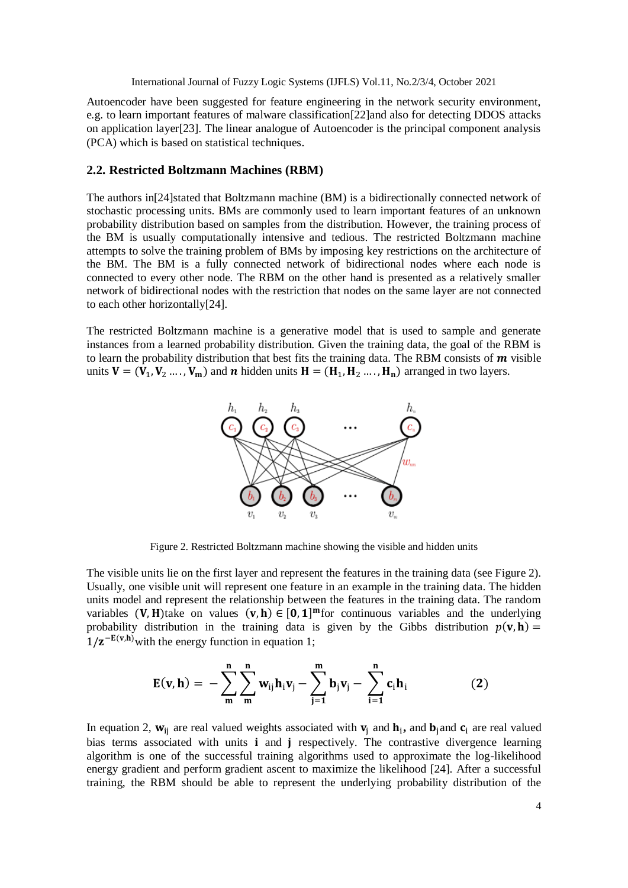Autoencoder have been suggested for feature engineering in the network security environment, e.g. to learn important features of malware classification[22]and also for detecting DDOS attacks on application layer[23]. The linear analogue of Autoencoder is the principal component analysis (PCA) which is based on statistical techniques.

#### **2.2. Restricted Boltzmann Machines (RBM)**

The authors in[24]stated that Boltzmann machine (BM) is a bidirectionally connected network of stochastic processing units. BMs are commonly used to learn important features of an unknown probability distribution based on samples from the distribution. However, the training process of the BM is usually computationally intensive and tedious. The restricted Boltzmann machine attempts to solve the training problem of BMs by imposing key restrictions on the architecture of the BM. The BM is a fully connected network of bidirectional nodes where each node is connected to every other node. The RBM on the other hand is presented as a relatively smaller network of bidirectional nodes with the restriction that nodes on the same layer are not connected to each other horizontally[24].

The restricted Boltzmann machine is a generative model that is used to sample and generate instances from a learned probability distribution. Given the training data, the goal of the RBM is to learn the probability distribution that best fits the training data. The RBM consists of  $\boldsymbol{m}$  visible units  $V = (V_1, V_2, \dots, V_m)$  and *n* hidden units  $H = (H_1, H_2, \dots, H_n)$  arranged in two layers.



Figure 2. Restricted Boltzmann machine showing the visible and hidden units

The visible units lie on the first layer and represent the features in the training data (see Figure 2). Usually, one visible unit will represent one feature in an example in the training data. The hidden units model and represent the relationship between the features in the training data. The random variables (V, H) take on values  $(v, h) \in [0, 1]^{m}$  for continuous variables and the underlying probability distribution in the training data is given by the Gibbs distribution  $p(\mathbf{v}, \mathbf{h}) =$  $1/\mathbf{z}^{-\mathbf{E}(\mathbf{v},\mathbf{h})}$  with the energy function in equation 1;

$$
E(v, h) = -\sum_{m}^{n} \sum_{m}^{n} w_{ij} h_{i} v_{j} - \sum_{j=1}^{m} b_{j} v_{j} - \sum_{i=1}^{n} c_{i} h_{i}
$$
 (2)

In equation 2,  $w_{ij}$  are real valued weights associated with  $v_j$  and  $h_i$ , and  $b_j$ and  $c_i$  are real valued bias terms associated with units **i** and **j** respectively. The contrastive divergence learning algorithm is one of the successful training algorithms used to approximate the log-likelihood energy gradient and perform gradient ascent to maximize the likelihood [24]. After a successful training, the RBM should be able to represent the underlying probability distribution of the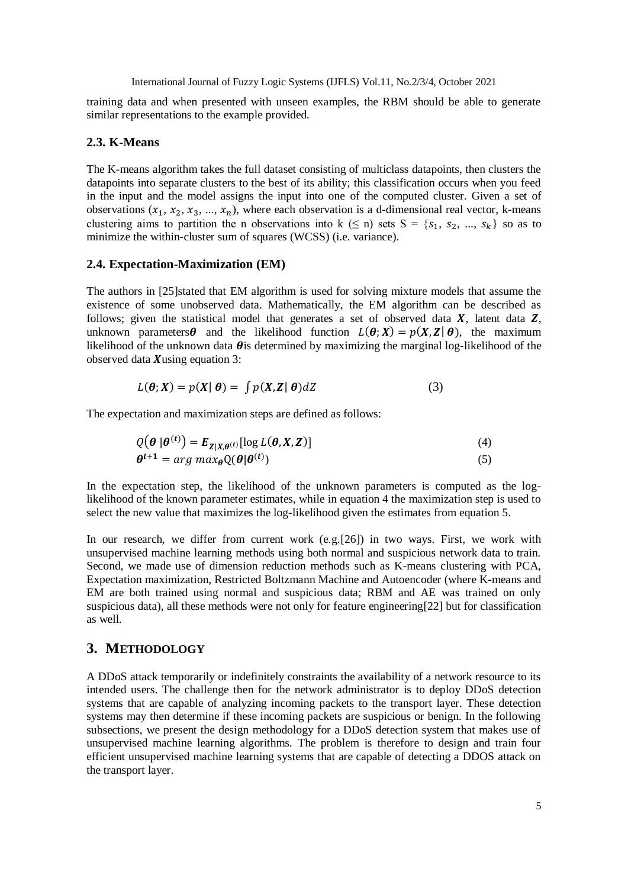training data and when presented with unseen examples, the RBM should be able to generate similar representations to the example provided.

#### **2.3. K-Means**

The K-means algorithm takes the full dataset consisting of multiclass datapoints, then clusters the datapoints into separate clusters to the best of its ability; this classification occurs when you feed in the input and the model assigns the input into one of the computed cluster. Given a set of observations  $(x_1, x_2, x_3, ..., x_n)$ , where each observation is a d-dimensional real vector, k-means clustering aims to partition the n observations into k ( $\leq$  n) sets S = { $s_1, s_2, ..., s_k$ } so as to minimize the within-cluster sum of squares (WCSS) (i.e. variance).

#### **2.4. Expectation-Maximization (EM)**

The authors in [25]stated that EM algorithm is used for solving mixture models that assume the existence of some unobserved data. Mathematically, the EM algorithm can be described as follows; given the statistical model that generates a set of observed data  $X$ , latent data  $Z$ , unknown parameters  $\theta$  and the likelihood function  $L(\theta; X) = p(X, Z | \theta)$ , the maximum likelihood of the unknown data  $\theta$  is determined by maximizing the marginal log-likelihood of the observed data  $X$ using equation 3:

$$
L(\boldsymbol{\theta}; \boldsymbol{X}) = p(\boldsymbol{X} | \boldsymbol{\theta}) = \int p(\boldsymbol{X}, \boldsymbol{Z} | \boldsymbol{\theta}) dZ \tag{3}
$$

The expectation and maximization steps are defined as follows:

$$
Q(\boldsymbol{\theta} | \boldsymbol{\theta}^{(t)}) = E_{Z|X,\boldsymbol{\theta}^{(t)}}[\log L(\boldsymbol{\theta}, X, Z)]
$$
\n
$$
\boldsymbol{\theta}^{t+1} = \arg \max_{\boldsymbol{\theta}} Q(\boldsymbol{\theta} | \boldsymbol{\theta}^{(t)})
$$
\n(4)

In the expectation step, the likelihood of the unknown parameters is computed as the loglikelihood of the known parameter estimates, while in equation 4 the maximization step is used to select the new value that maximizes the log-likelihood given the estimates from equation 5.

In our research, we differ from current work (e.g. [26]) in two ways. First, we work with unsupervised machine learning methods using both normal and suspicious network data to train. Second, we made use of dimension reduction methods such as K-means clustering with PCA, Expectation maximization, Restricted Boltzmann Machine and Autoencoder (where K-means and EM are both trained using normal and suspicious data; RBM and AE was trained on only suspicious data), all these methods were not only for feature engineering[22] but for classification as well.

#### **3. METHODOLOGY**

A DDoS attack temporarily or indefinitely constraints the availability of a network resource to its intended users. The challenge then for the network administrator is to deploy DDoS detection systems that are capable of analyzing incoming packets to the transport layer. These detection systems may then determine if these incoming packets are suspicious or benign. In the following subsections, we present the design methodology for a DDoS detection system that makes use of unsupervised machine learning algorithms. The problem is therefore to design and train four efficient unsupervised machine learning systems that are capable of detecting a DDOS attack on the transport layer.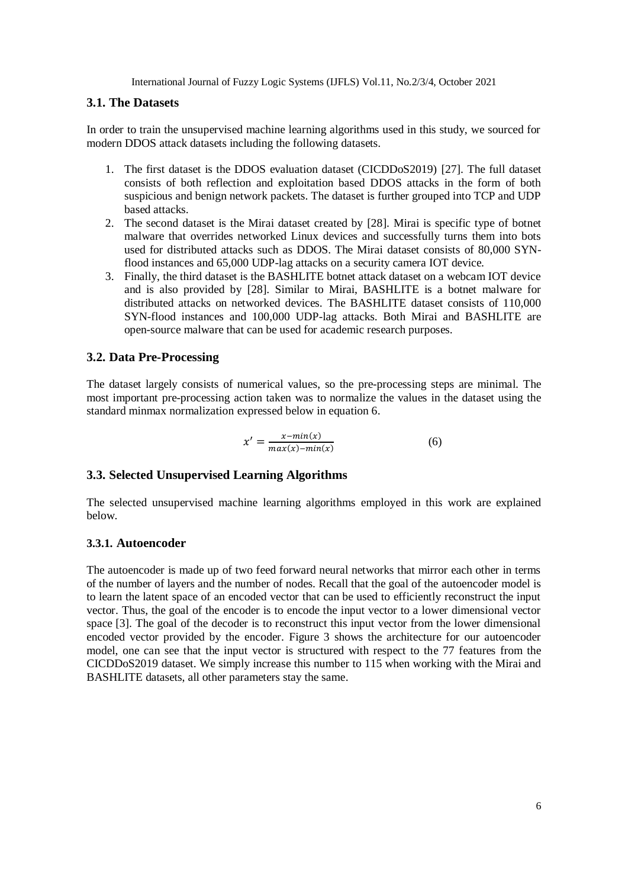## **3.1. The Datasets**

In order to train the unsupervised machine learning algorithms used in this study, we sourced for modern DDOS attack datasets including the following datasets.

- 1. The first dataset is the DDOS evaluation dataset (CICDDoS2019) [27]. The full dataset consists of both reflection and exploitation based DDOS attacks in the form of both suspicious and benign network packets. The dataset is further grouped into TCP and UDP based attacks.
- 2. The second dataset is the Mirai dataset created by [28]. Mirai is specific type of botnet malware that overrides networked Linux devices and successfully turns them into bots used for distributed attacks such as DDOS. The Mirai dataset consists of 80,000 SYNflood instances and 65,000 UDP-lag attacks on a security camera IOT device.
- 3. Finally, the third dataset is the BASHLITE botnet attack dataset on a webcam IOT device and is also provided by [28]. Similar to Mirai, BASHLITE is a botnet malware for distributed attacks on networked devices. The BASHLITE dataset consists of 110,000 SYN-flood instances and 100,000 UDP-lag attacks. Both Mirai and BASHLITE are open-source malware that can be used for academic research purposes.

## **3.2. Data Pre-Processing**

The dataset largely consists of numerical values, so the pre-processing steps are minimal. The most important pre-processing action taken was to normalize the values in the dataset using the standard minmax normalization expressed below in equation 6.

$$
x' = \frac{x - \min(x)}{\max(x) - \min(x)}\tag{6}
$$

## **3.3. Selected Unsupervised Learning Algorithms**

The selected unsupervised machine learning algorithms employed in this work are explained below.

## **3.3.1. Autoencoder**

The autoencoder is made up of two feed forward neural networks that mirror each other in terms of the number of layers and the number of nodes. Recall that the goal of the autoencoder model is to learn the latent space of an encoded vector that can be used to efficiently reconstruct the input vector. Thus, the goal of the encoder is to encode the input vector to a lower dimensional vector space [3]. The goal of the decoder is to reconstruct this input vector from the lower dimensional encoded vector provided by the encoder. Figure 3 shows the architecture for our autoencoder model, one can see that the input vector is structured with respect to the 77 features from the CICDDoS2019 dataset. We simply increase this number to 115 when working with the Mirai and BASHLITE datasets, all other parameters stay the same.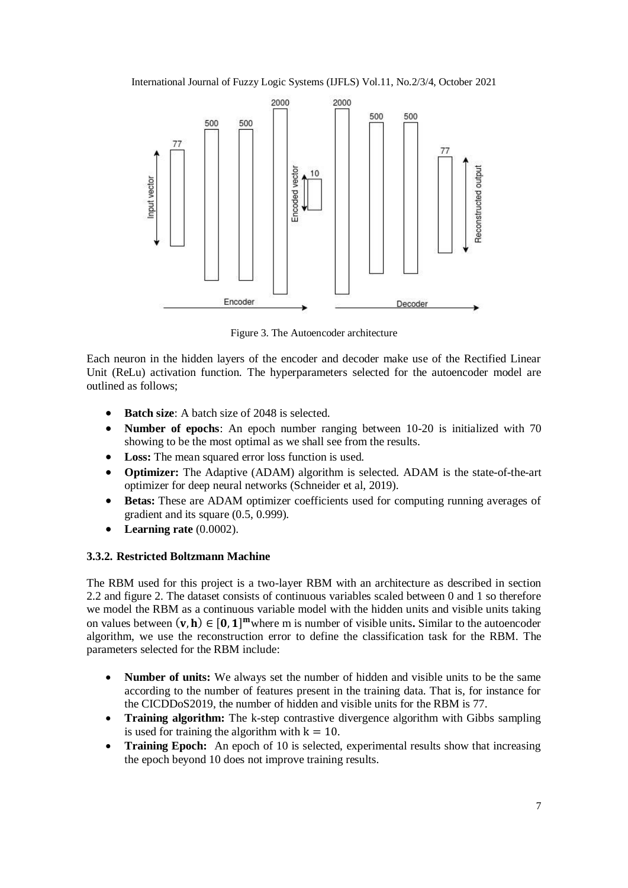International Journal of Fuzzy Logic Systems (IJFLS) Vol.11, No.2/3/4, October 2021



Figure 3. The Autoencoder architecture

Each neuron in the hidden layers of the encoder and decoder make use of the Rectified Linear Unit (ReLu) activation function. The hyperparameters selected for the autoencoder model are outlined as follows;

- **Batch size:** A batch size of 2048 is selected.
- **Number of epochs**: An epoch number ranging between 10-20 is initialized with 70 showing to be the most optimal as we shall see from the results.
- **Loss:** The mean squared error loss function is used.
- **Optimizer:** The Adaptive (ADAM) algorithm is selected. ADAM is the state-of-the-art optimizer for deep neural networks (Schneider et al, 2019).
- **Betas:** These are ADAM optimizer coefficients used for computing running averages of gradient and its square (0.5, 0.999).
- **Learning rate** (0.0002).

## **3.3.2. Restricted Boltzmann Machine**

The RBM used for this project is a two-layer RBM with an architecture as described in section 2.2 and figure 2. The dataset consists of continuous variables scaled between 0 and 1 so therefore we model the RBM as a continuous variable model with the hidden units and visible units taking on values between  $(v, h) \in [0, 1]^m$  where m is number of visible units. Similar to the autoencoder algorithm, we use the reconstruction error to define the classification task for the RBM. The parameters selected for the RBM include:

- **Number of units:** We always set the number of hidden and visible units to be the same according to the number of features present in the training data. That is, for instance for the CICDDoS2019, the number of hidden and visible units for the RBM is 77.
- **Training algorithm:** The k-step contrastive divergence algorithm with Gibbs sampling is used for training the algorithm with  $k = 10$ .
- **Training Epoch:** An epoch of 10 is selected, experimental results show that increasing the epoch beyond 10 does not improve training results.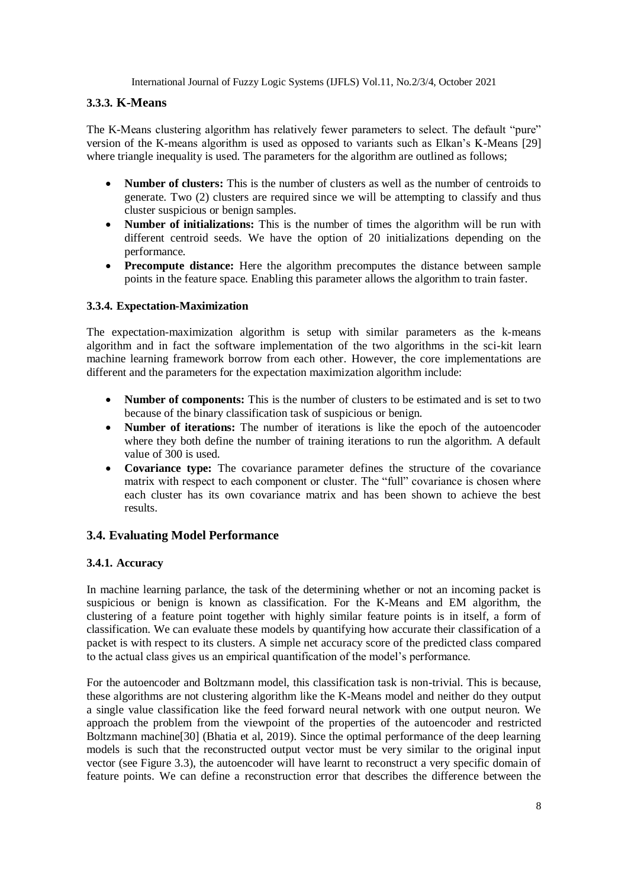## **3.3.3. K-Means**

The K-Means clustering algorithm has relatively fewer parameters to select. The default "pure" version of the K-means algorithm is used as opposed to variants such as Elkan's K-Means [29] where triangle inequality is used. The parameters for the algorithm are outlined as follows;

- **Number of clusters:** This is the number of clusters as well as the number of centroids to generate. Two (2) clusters are required since we will be attempting to classify and thus cluster suspicious or benign samples.
- **Number of initializations:** This is the number of times the algorithm will be run with different centroid seeds. We have the option of 20 initializations depending on the performance.
- **Precompute distance:** Here the algorithm precomputes the distance between sample points in the feature space. Enabling this parameter allows the algorithm to train faster.

## **3.3.4. Expectation-Maximization**

The expectation-maximization algorithm is setup with similar parameters as the k-means algorithm and in fact the software implementation of the two algorithms in the sci-kit learn machine learning framework borrow from each other. However, the core implementations are different and the parameters for the expectation maximization algorithm include:

- **Number of components:** This is the number of clusters to be estimated and is set to two because of the binary classification task of suspicious or benign.
- **Number of iterations:** The number of iterations is like the epoch of the autoencoder where they both define the number of training iterations to run the algorithm. A default value of 300 is used.
- **Covariance type:** The covariance parameter defines the structure of the covariance matrix with respect to each component or cluster. The "full" covariance is chosen where each cluster has its own covariance matrix and has been shown to achieve the best results.

## **3.4. Evaluating Model Performance**

## **3.4.1. Accuracy**

In machine learning parlance, the task of the determining whether or not an incoming packet is suspicious or benign is known as classification. For the K-Means and EM algorithm, the clustering of a feature point together with highly similar feature points is in itself, a form of classification. We can evaluate these models by quantifying how accurate their classification of a packet is with respect to its clusters. A simple net accuracy score of the predicted class compared to the actual class gives us an empirical quantification of the model's performance.

For the autoencoder and Boltzmann model, this classification task is non-trivial. This is because, these algorithms are not clustering algorithm like the K-Means model and neither do they output a single value classification like the feed forward neural network with one output neuron. We approach the problem from the viewpoint of the properties of the autoencoder and restricted Boltzmann machine[30] (Bhatia et al, 2019). Since the optimal performance of the deep learning models is such that the reconstructed output vector must be very similar to the original input vector (see Figure 3.3), the autoencoder will have learnt to reconstruct a very specific domain of feature points. We can define a reconstruction error that describes the difference between the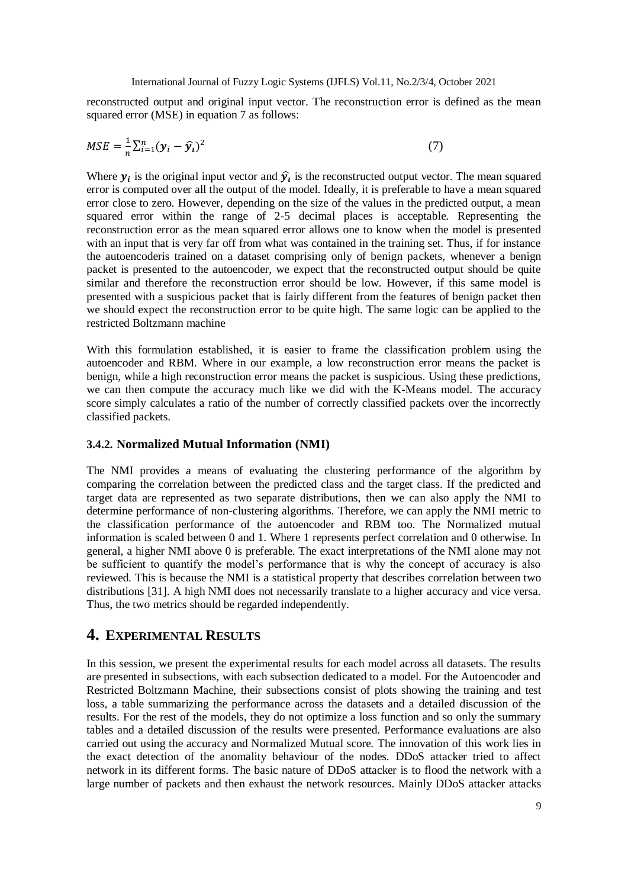reconstructed output and original input vector. The reconstruction error is defined as the mean squared error (MSE) in equation 7 as follows:

$$
MSE = \frac{1}{n} \sum_{i=1}^{n} (\mathbf{y}_i - \hat{\mathbf{y}}_i)^2
$$
\n(7)

Where  $y_i$  is the original input vector and  $\hat{y_i}$  is the reconstructed output vector. The mean squared error is computed over all the output of the model. Ideally, it is preferable to have a mean squared error close to zero. However, depending on the size of the values in the predicted output, a mean squared error within the range of 2-5 decimal places is acceptable. Representing the reconstruction error as the mean squared error allows one to know when the model is presented with an input that is very far off from what was contained in the training set. Thus, if for instance the autoencoderis trained on a dataset comprising only of benign packets, whenever a benign packet is presented to the autoencoder, we expect that the reconstructed output should be quite similar and therefore the reconstruction error should be low. However, if this same model is presented with a suspicious packet that is fairly different from the features of benign packet then we should expect the reconstruction error to be quite high. The same logic can be applied to the restricted Boltzmann machine

With this formulation established, it is easier to frame the classification problem using the autoencoder and RBM. Where in our example, a low reconstruction error means the packet is benign, while a high reconstruction error means the packet is suspicious. Using these predictions, we can then compute the accuracy much like we did with the K-Means model. The accuracy score simply calculates a ratio of the number of correctly classified packets over the incorrectly classified packets.

#### **3.4.2. Normalized Mutual Information (NMI)**

The NMI provides a means of evaluating the clustering performance of the algorithm by comparing the correlation between the predicted class and the target class. If the predicted and target data are represented as two separate distributions, then we can also apply the NMI to determine performance of non-clustering algorithms. Therefore, we can apply the NMI metric to the classification performance of the autoencoder and RBM too. The Normalized mutual information is scaled between 0 and 1. Where 1 represents perfect correlation and 0 otherwise. In general, a higher NMI above 0 is preferable. The exact interpretations of the NMI alone may not be sufficient to quantify the model's performance that is why the concept of accuracy is also reviewed. This is because the NMI is a statistical property that describes correlation between two distributions [31]. A high NMI does not necessarily translate to a higher accuracy and vice versa. Thus, the two metrics should be regarded independently.

# **4. EXPERIMENTAL RESULTS**

In this session, we present the experimental results for each model across all datasets. The results are presented in subsections, with each subsection dedicated to a model. For the Autoencoder and Restricted Boltzmann Machine, their subsections consist of plots showing the training and test loss, a table summarizing the performance across the datasets and a detailed discussion of the results. For the rest of the models, they do not optimize a loss function and so only the summary tables and a detailed discussion of the results were presented. Performance evaluations are also carried out using the accuracy and Normalized Mutual score. The innovation of this work lies in the exact detection of the anomality behaviour of the nodes. DDoS attacker tried to affect network in its different forms. The basic nature of DDoS attacker is to flood the network with a large number of packets and then exhaust the network resources. Mainly DDoS attacker attacks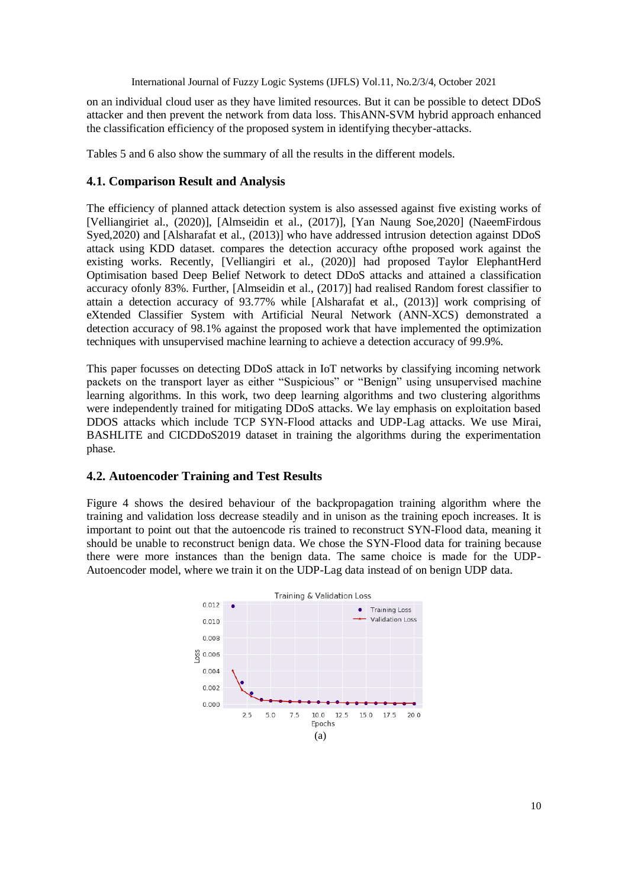on an individual cloud user as they have limited resources. But it can be possible to detect DDoS attacker and then prevent the network from data loss. ThisANN-SVM hybrid approach enhanced the classification efficiency of the proposed system in identifying thecyber-attacks.

Tables 5 and 6 also show the summary of all the results in the different models.

## **4.1. Comparison Result and Analysis**

The efficiency of planned attack detection system is also assessed against five existing works of [Velliangiriet al., (2020)], [Almseidin et al., (2017)], [Yan Naung Soe,2020] (NaeemFirdous Syed,2020) and [Alsharafat et al., (2013)] who have addressed intrusion detection against DDoS attack using KDD dataset. compares the detection accuracy ofthe proposed work against the existing works. Recently, [Velliangiri et al., (2020)] had proposed Taylor ElephantHerd Optimisation based Deep Belief Network to detect DDoS attacks and attained a classification accuracy ofonly 83%. Further, [Almseidin et al., (2017)] had realised Random forest classifier to attain a detection accuracy of 93.77% while [Alsharafat et al., (2013)] work comprising of eXtended Classifier System with Artificial Neural Network (ANN-XCS) demonstrated a detection accuracy of 98.1% against the proposed work that have implemented the optimization techniques with unsupervised machine learning to achieve a detection accuracy of 99.9%.

This paper focusses on detecting DDoS attack in IoT networks by classifying incoming network packets on the transport layer as either "Suspicious" or "Benign" using unsupervised machine learning algorithms. In this work, two deep learning algorithms and two clustering algorithms were independently trained for mitigating DDoS attacks. We lay emphasis on exploitation based DDOS attacks which include TCP SYN-Flood attacks and UDP-Lag attacks. We use Mirai, BASHLITE and CICDDoS2019 dataset in training the algorithms during the experimentation phase.

## **4.2. Autoencoder Training and Test Results**

Figure 4 shows the desired behaviour of the backpropagation training algorithm where the training and validation loss decrease steadily and in unison as the training epoch increases. It is important to point out that the autoencode ris trained to reconstruct SYN-Flood data, meaning it should be unable to reconstruct benign data. We chose the SYN-Flood data for training because there were more instances than the benign data. The same choice is made for the UDP-Autoencoder model, where we train it on the UDP-Lag data instead of on benign UDP data.

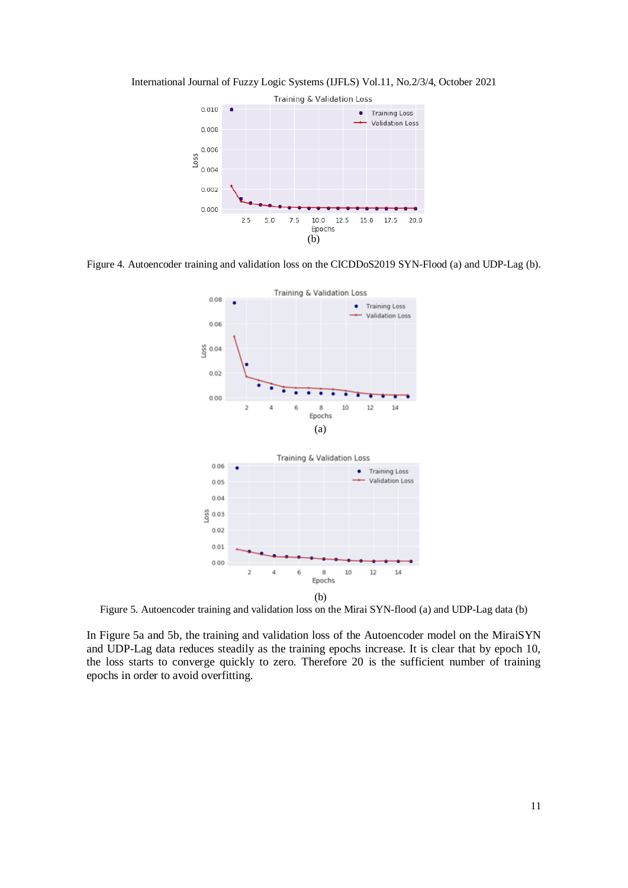



Figure 4. Autoencoder training and validation loss on the CICDDoS2019 SYN-Flood (a) and UDP-Lag (b).



Figure 5. Autoencoder training and validation loss on the Mirai SYN-flood (a) and UDP-Lag data (b)

In Figure 5a and 5b, the training and validation loss of the Autoencoder model on the MiraiSYN and UDP-Lag data reduces steadily as the training epochs increase. It is clear that by epoch 10, the loss starts to converge quickly to zero. Therefore 20 is the sufficient number of training epochs in order to avoid overfitting.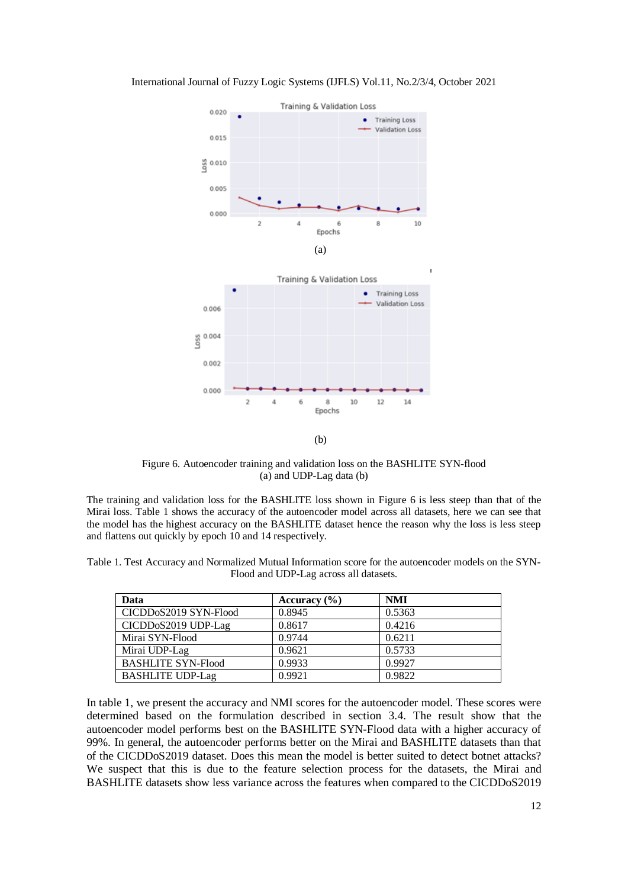



Figure 6. Autoencoder training and validation loss on the BASHLITE SYN-flood (a) and UDP-Lag data (b)

The training and validation loss for the BASHLITE loss shown in Figure 6 is less steep than that of the Mirai loss. Table 1 shows the accuracy of the autoencoder model across all datasets, here we can see that the model has the highest accuracy on the BASHLITE dataset hence the reason why the loss is less steep and flattens out quickly by epoch 10 and 14 respectively.

Table 1. Test Accuracy and Normalized Mutual Information score for the autoencoder models on the SYN-Flood and UDP-Lag across all datasets.

| Data                      | Accuracy $(\% )$ | <b>NMI</b> |
|---------------------------|------------------|------------|
| CICDDoS2019 SYN-Flood     | 0.8945           | 0.5363     |
| CICDDoS2019 UDP-Lag       | 0.8617           | 0.4216     |
| Mirai SYN-Flood           | 0.9744           | 0.6211     |
| Mirai UDP-Lag             | 0.9621           | 0.5733     |
| <b>BASHLITE SYN-Flood</b> | 0.9933           | 0.9927     |
| <b>BASHLITE UDP-Lag</b>   | 0.9921           | 0.9822     |

In table 1, we present the accuracy and NMI scores for the autoencoder model. These scores were determined based on the formulation described in section 3.4. The result show that the autoencoder model performs best on the BASHLITE SYN-Flood data with a higher accuracy of 99%. In general, the autoencoder performs better on the Mirai and BASHLITE datasets than that of the CICDDoS2019 dataset. Does this mean the model is better suited to detect botnet attacks? We suspect that this is due to the feature selection process for the datasets, the Mirai and BASHLITE datasets show less variance across the features when compared to the CICDDoS2019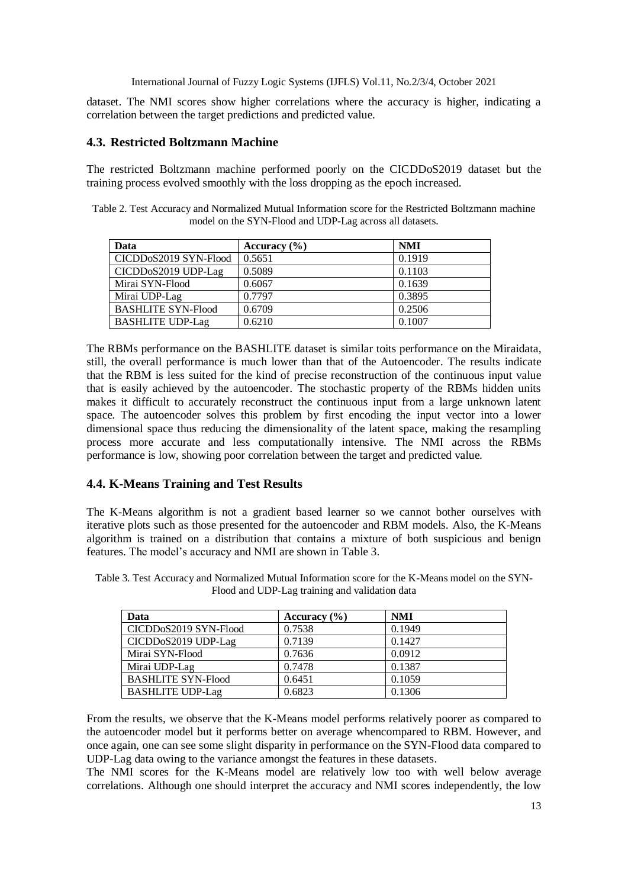dataset. The NMI scores show higher correlations where the accuracy is higher, indicating a correlation between the target predictions and predicted value.

## **4.3. Restricted Boltzmann Machine**

The restricted Boltzmann machine performed poorly on the CICDDoS2019 dataset but the training process evolved smoothly with the loss dropping as the epoch increased.

Table 2. Test Accuracy and Normalized Mutual Information score for the Restricted Boltzmann machine model on the SYN-Flood and UDP-Lag across all datasets.

| Data                      | Accuracy $(\% )$ | <b>NMI</b> |
|---------------------------|------------------|------------|
| CICDDoS2019 SYN-Flood     | 0.5651           | 0.1919     |
| CICDDoS2019 UDP-Lag       | 0.5089           | 0.1103     |
| Mirai SYN-Flood           | 0.6067           | 0.1639     |
| Mirai UDP-Lag             | 0.7797           | 0.3895     |
| <b>BASHLITE SYN-Flood</b> | 0.6709           | 0.2506     |
| <b>BASHLITE UDP-Lag</b>   | 0.6210           | 0.1007     |

The RBMs performance on the BASHLITE dataset is similar toits performance on the Miraidata, still, the overall performance is much lower than that of the Autoencoder. The results indicate that the RBM is less suited for the kind of precise reconstruction of the continuous input value that is easily achieved by the autoencoder. The stochastic property of the RBMs hidden units makes it difficult to accurately reconstruct the continuous input from a large unknown latent space. The autoencoder solves this problem by first encoding the input vector into a lower dimensional space thus reducing the dimensionality of the latent space, making the resampling process more accurate and less computationally intensive. The NMI across the RBMs performance is low, showing poor correlation between the target and predicted value.

## **4.4. K-Means Training and Test Results**

The K-Means algorithm is not a gradient based learner so we cannot bother ourselves with iterative plots such as those presented for the autoencoder and RBM models. Also, the K-Means algorithm is trained on a distribution that contains a mixture of both suspicious and benign features. The model's accuracy and NMI are shown in Table 3.

| Table 3. Test Accuracy and Normalized Mutual Information score for the K-Means model on the SYN- |
|--------------------------------------------------------------------------------------------------|
| Flood and UDP-Lag training and validation data                                                   |
|                                                                                                  |

| Data                             | Accuracy $(\% )$ | <b>NMI</b> |
|----------------------------------|------------------|------------|
| CICDDoS2019 SYN-Flood            | 0.7538           | 0.1949     |
| CICDD <sub>0</sub> S2019 UDP-Lag | 0.7139           | 0.1427     |
| Mirai SYN-Flood                  | 0.7636           | 0.0912     |
| Mirai UDP-Lag                    | 0.7478           | 0.1387     |
| <b>BASHLITE SYN-Flood</b>        | 0.6451           | 0.1059     |
| <b>BASHLITE UDP-Lag</b>          | 0.6823           | 0.1306     |

From the results, we observe that the K-Means model performs relatively poorer as compared to the autoencoder model but it performs better on average whencompared to RBM. However, and once again, one can see some slight disparity in performance on the SYN-Flood data compared to UDP-Lag data owing to the variance amongst the features in these datasets.

The NMI scores for the K-Means model are relatively low too with well below average correlations. Although one should interpret the accuracy and NMI scores independently, the low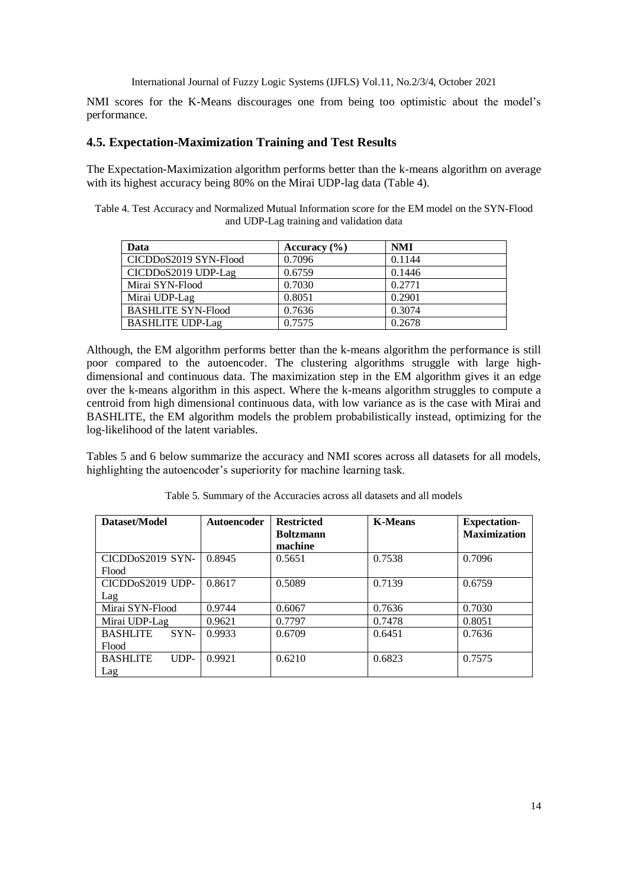NMI scores for the K-Means discourages one from being too optimistic about the model's performance.

#### **4.5. Expectation-Maximization Training and Test Results**

The Expectation-Maximization algorithm performs better than the k-means algorithm on average with its highest accuracy being 80% on the Mirai UDP-lag data (Table 4).

Table 4. Test Accuracy and Normalized Mutual Information score for the EM model on the SYN-Flood and UDP-Lag training and validation data

| Data                             | Accuracy $(\% )$ | <b>NMI</b> |
|----------------------------------|------------------|------------|
| CICDDoS2019 SYN-Flood            | 0.7096           | 0.1144     |
| CICDD <sub>0</sub> S2019 UDP-Lag | 0.6759           | 0.1446     |
| Mirai SYN-Flood                  | 0.7030           | 0.2771     |
| Mirai UDP-Lag                    | 0.8051           | 0.2901     |
| <b>BASHLITE SYN-Flood</b>        | 0.7636           | 0.3074     |
| <b>BASHLITE UDP-Lag</b>          | 0.7575           | 0.2678     |

Although, the EM algorithm performs better than the k-means algorithm the performance is still poor compared to the autoencoder. The clustering algorithms struggle with large highdimensional and continuous data. The maximization step in the EM algorithm gives it an edge over the k-means algorithm in this aspect. Where the k-means algorithm struggles to compute a centroid from high dimensional continuous data, with low variance as is the case with Mirai and BASHLITE, the EM algorithm models the problem probabilistically instead, optimizing for the log-likelihood of the latent variables.

Tables 5 and 6 below summarize the accuracy and NMI scores across all datasets for all models, highlighting the autoencoder's superiority for machine learning task.

| Dataset/Model                 | <b>Autoencoder</b> | <b>Restricted</b>           | <b>K-Means</b> | <b>Expectation-</b> |
|-------------------------------|--------------------|-----------------------------|----------------|---------------------|
|                               |                    | <b>Boltzmann</b><br>machine |                | <b>Maximization</b> |
| CICDD <sub>0</sub> S2019 SYN- | 0.8945             | 0.5651                      | 0.7538         | 0.7096              |
| Flood                         |                    |                             |                |                     |
| CICDD <sub>0</sub> S2019 UDP- | 0.8617             | 0.5089                      | 0.7139         | 0.6759              |
| Lag                           |                    |                             |                |                     |
| Mirai SYN-Flood               | 0.9744             | 0.6067                      | 0.7636         | 0.7030              |
| Mirai UDP-Lag                 | 0.9621             | 0.7797                      | 0.7478         | 0.8051              |
| <b>BASHLITE</b><br>SYN-       | 0.9933             | 0.6709                      | 0.6451         | 0.7636              |
| Flood                         |                    |                             |                |                     |
| <b>BASHLITE</b><br>$IDP-$     | 0.9921             | 0.6210                      | 0.6823         | 0.7575              |
| Lag                           |                    |                             |                |                     |

Table 5. Summary of the Accuracies across all datasets and all models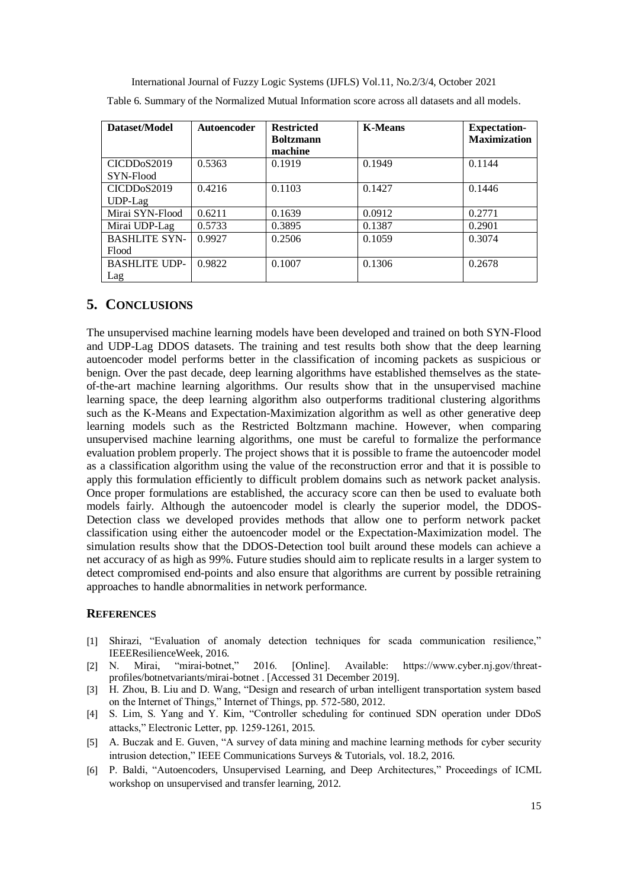| Dataset/Model            | <b>Autoencoder</b> | <b>Restricted</b><br><b>Boltzmann</b> | <b>K-Means</b> | <b>Expectation-</b><br><b>Maximization</b> |
|--------------------------|--------------------|---------------------------------------|----------------|--------------------------------------------|
|                          |                    | machine                               |                |                                            |
| CICDD <sub>0</sub> S2019 | 0.5363             | 0.1919                                | 0.1949         | 0.1144                                     |
| SYN-Flood                |                    |                                       |                |                                            |
| CICDDoS2019              | 0.4216             | 0.1103                                | 0.1427         | 0.1446                                     |
| $UDP-Lag$                |                    |                                       |                |                                            |
| Mirai SYN-Flood          | 0.6211             | 0.1639                                | 0.0912         | 0.2771                                     |
| Mirai UDP-Lag            | 0.5733             | 0.3895                                | 0.1387         | 0.2901                                     |
| <b>BASHLITE SYN-</b>     | 0.9927             | 0.2506                                | 0.1059         | 0.3074                                     |
| Flood                    |                    |                                       |                |                                            |
| <b>BASHLITE UDP-</b>     | 0.9822             | 0.1007                                | 0.1306         | 0.2678                                     |
| Lag                      |                    |                                       |                |                                            |

Table 6. Summary of the Normalized Mutual Information score across all datasets and all models.

## **5. CONCLUSIONS**

The unsupervised machine learning models have been developed and trained on both SYN-Flood and UDP-Lag DDOS datasets. The training and test results both show that the deep learning autoencoder model performs better in the classification of incoming packets as suspicious or benign. Over the past decade, deep learning algorithms have established themselves as the stateof-the-art machine learning algorithms. Our results show that in the unsupervised machine learning space, the deep learning algorithm also outperforms traditional clustering algorithms such as the K-Means and Expectation-Maximization algorithm as well as other generative deep learning models such as the Restricted Boltzmann machine. However, when comparing unsupervised machine learning algorithms, one must be careful to formalize the performance evaluation problem properly. The project shows that it is possible to frame the autoencoder model as a classification algorithm using the value of the reconstruction error and that it is possible to apply this formulation efficiently to difficult problem domains such as network packet analysis. Once proper formulations are established, the accuracy score can then be used to evaluate both models fairly. Although the autoencoder model is clearly the superior model, the DDOS-Detection class we developed provides methods that allow one to perform network packet classification using either the autoencoder model or the Expectation-Maximization model. The simulation results show that the DDOS-Detection tool built around these models can achieve a net accuracy of as high as 99%. Future studies should aim to replicate results in a larger system to detect compromised end-points and also ensure that algorithms are current by possible retraining approaches to handle abnormalities in network performance.

## **REFERENCES**

- [1] Shirazi, "Evaluation of anomaly detection techniques for scada communication resilience," IEEEResilienceWeek, 2016.
- [2] N. Mirai, "mirai-botnet," 2016. [Online]. Available: https://www.cyber.nj.gov/threatprofiles/botnetvariants/mirai-botnet . [Accessed 31 December 2019].
- [3] H. Zhou, B. Liu and D. Wang, "Design and research of urban intelligent transportation system based on the Internet of Things," Internet of Things, pp. 572-580, 2012.
- [4] S. Lim, S. Yang and Y. Kim, "Controller scheduling for continued SDN operation under DDoS attacks," Electronic Letter, pp. 1259-1261, 2015.
- [5] A. Buczak and E. Guven, "A survey of data mining and machine learning methods for cyber security intrusion detection," IEEE Communications Surveys & Tutorials, vol. 18.2, 2016.
- [6] P. Baldi, "Autoencoders, Unsupervised Learning, and Deep Architectures," Proceedings of ICML workshop on unsupervised and transfer learning, 2012.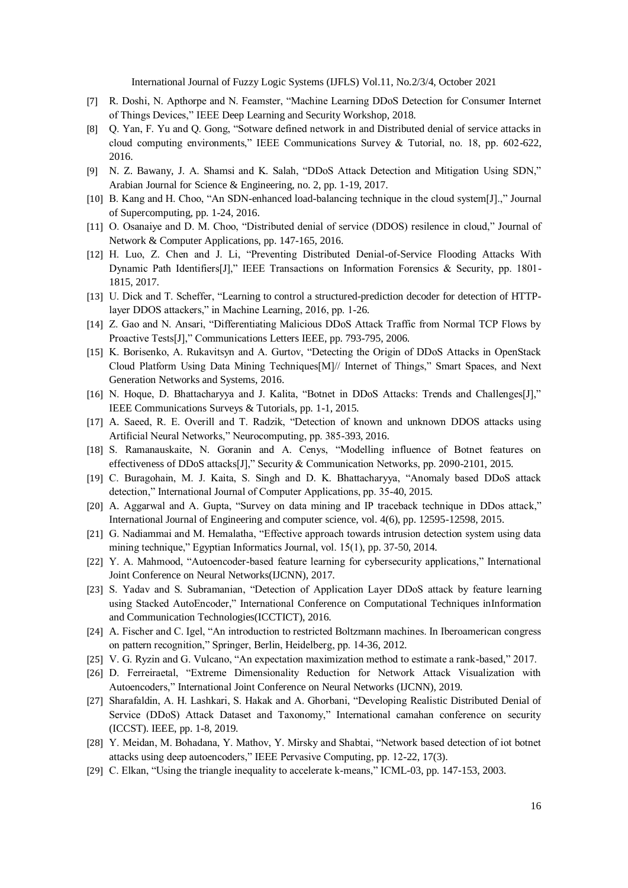- [7] R. Doshi, N. Apthorpe and N. Feamster, "Machine Learning DDoS Detection for Consumer Internet of Things Devices," IEEE Deep Learning and Security Workshop, 2018.
- [8] Q. Yan, F. Yu and Q. Gong, "Sotware defined network in and Distributed denial of service attacks in cloud computing environments," IEEE Communications Survey & Tutorial, no. 18, pp. 602-622, 2016.
- [9] N. Z. Bawany, J. A. Shamsi and K. Salah, "DDoS Attack Detection and Mitigation Using SDN," Arabian Journal for Science & Engineering, no. 2, pp. 1-19, 2017.
- [10] B. Kang and H. Choo, "An SDN-enhanced load-balancing technique in the cloud system[J].," Journal of Supercomputing, pp. 1-24, 2016.
- [11] O. Osanaiye and D. M. Choo, "Distributed denial of service (DDOS) resilence in cloud," Journal of Network & Computer Applications, pp. 147-165, 2016.
- [12] H. Luo, Z. Chen and J. Li, "Preventing Distributed Denial-of-Service Flooding Attacks With Dynamic Path Identifiers[J]," IEEE Transactions on Information Forensics & Security, pp. 1801- 1815, 2017.
- [13] U. Dick and T. Scheffer, "Learning to control a structured-prediction decoder for detection of HTTPlayer DDOS attackers," in Machine Learning, 2016, pp. 1-26.
- [14] Z. Gao and N. Ansari, "Differentiating Malicious DDoS Attack Traffic from Normal TCP Flows by Proactive Tests[J]," Communications Letters IEEE, pp. 793-795, 2006.
- [15] K. Borisenko, A. Rukavitsyn and A. Gurtov, "Detecting the Origin of DDoS Attacks in OpenStack Cloud Platform Using Data Mining Techniques[M]// Internet of Things," Smart Spaces, and Next Generation Networks and Systems, 2016.
- [16] N. Hoque, D. Bhattacharyya and J. Kalita, "Botnet in DDoS Attacks: Trends and Challenges[J]," IEEE Communications Surveys & Tutorials, pp. 1-1, 2015.
- [17] A. Saeed, R. E. Overill and T. Radzik, "Detection of known and unknown DDOS attacks using Artificial Neural Networks," Neurocomputing, pp. 385-393, 2016.
- [18] S. Ramanauskaite, N. Goranin and A. Cenys, "Modelling influence of Botnet features on effectiveness of DDoS attacks[J]," Security & Communication Networks, pp. 2090-2101, 2015.
- [19] C. Buragohain, M. J. Kaita, S. Singh and D. K. Bhattacharyya, "Anomaly based DDoS attack detection," International Journal of Computer Applications, pp. 35-40, 2015.
- [20] A. Aggarwal and A. Gupta, "Survey on data mining and IP traceback technique in DDos attack," International Journal of Engineering and computer science, vol. 4(6), pp. 12595-12598, 2015.
- [21] G. Nadiammai and M. Hemalatha, "Effective approach towards intrusion detection system using data mining technique," Egyptian Informatics Journal, vol. 15(1), pp. 37-50, 2014.
- [22] Y. A. Mahmood, "Autoencoder-based feature learning for cybersecurity applications," International Joint Conference on Neural Networks(IJCNN), 2017.
- [23] S. Yadav and S. Subramanian, "Detection of Application Layer DDoS attack by feature learning using Stacked AutoEncoder," International Conference on Computational Techniques inInformation and Communication Technologies(ICCTICT), 2016.
- [24] A. Fischer and C. Igel, "An introduction to restricted Boltzmann machines. In Iberoamerican congress on pattern recognition," Springer, Berlin, Heidelberg, pp. 14-36, 2012.
- [25] V. G. Ryzin and G. Vulcano, "An expectation maximization method to estimate a rank-based," 2017.
- [26] D. Ferreiraetal, "Extreme Dimensionality Reduction for Network Attack Visualization with Autoencoders," International Joint Conference on Neural Networks (IJCNN), 2019.
- [27] Sharafaldin, A. H. Lashkari, S. Hakak and A. Ghorbani, "Developing Realistic Distributed Denial of Service (DDoS) Attack Dataset and Taxonomy," International camahan conference on security (ICCST). IEEE, pp. 1-8, 2019.
- [28] Y. Meidan, M. Bohadana, Y. Mathov, Y. Mirsky and Shabtai, "Network based detection of iot botnet attacks using deep autoencoders," IEEE Pervasive Computing, pp. 12-22, 17(3).
- [29] C. Elkan, "Using the triangle inequality to accelerate k-means," ICML-03, pp. 147-153, 2003.